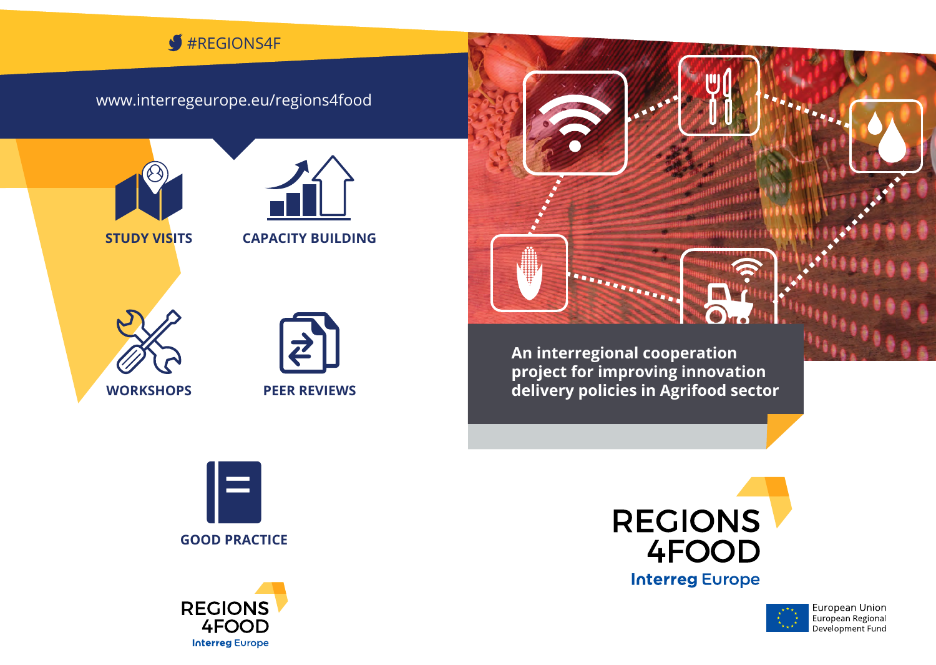#### #Regions4F J

## www.interregeurope.eu/regions4food



**STUDY VISITS CAPACITY BUILDING**





**An interregional cooperation project for improving innovation delivery policies in Agrifood sector**

. . . . . . . .







.............